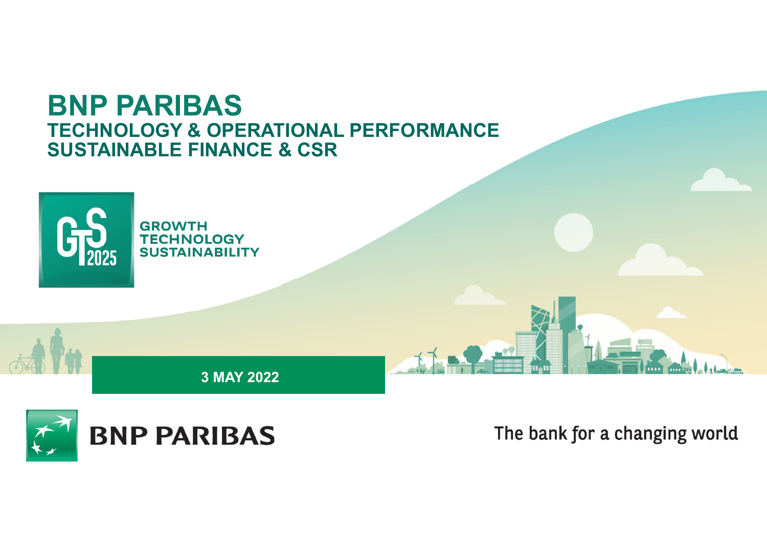# **BNP PARIBAS TECHNOLOGY & OPERATIONAL PERFORMANCE SUSTAINABLE FINANCE & CSR**



**3 MAY 2022**

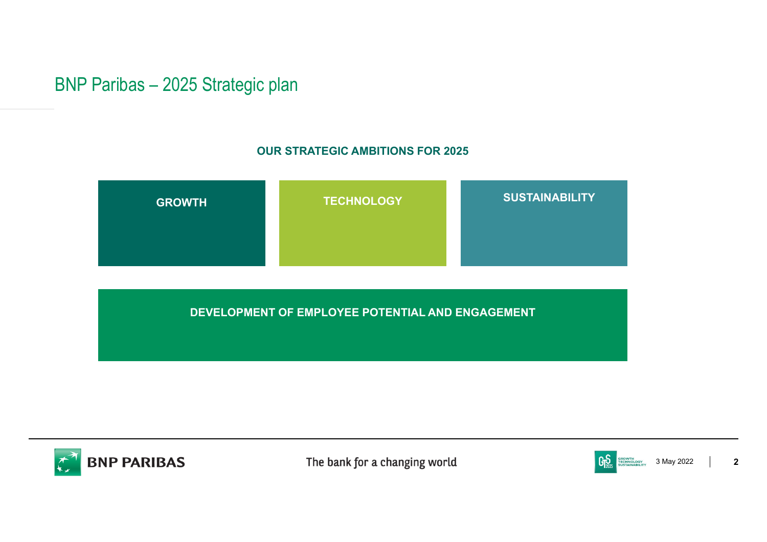## BNP Paribas – 2025 Strategic plan

### **OUR STRATEGIC AMBITIONS FOR 2025**



**DEVELOPMENT OF EMPLOYEE POTENTIAL AND ENGAGEMENT**



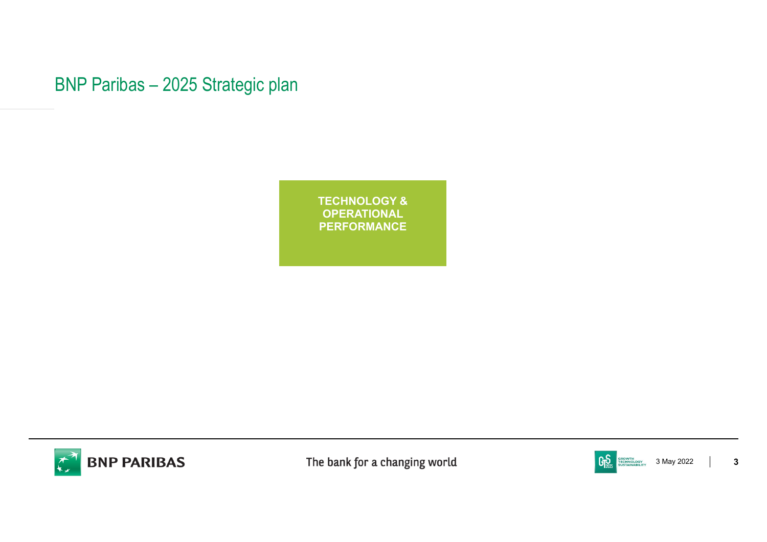BNP Paribas – 2025 Strategic plan

**TECHNOLOGY & OPERATIONAL PERFORMANCE**



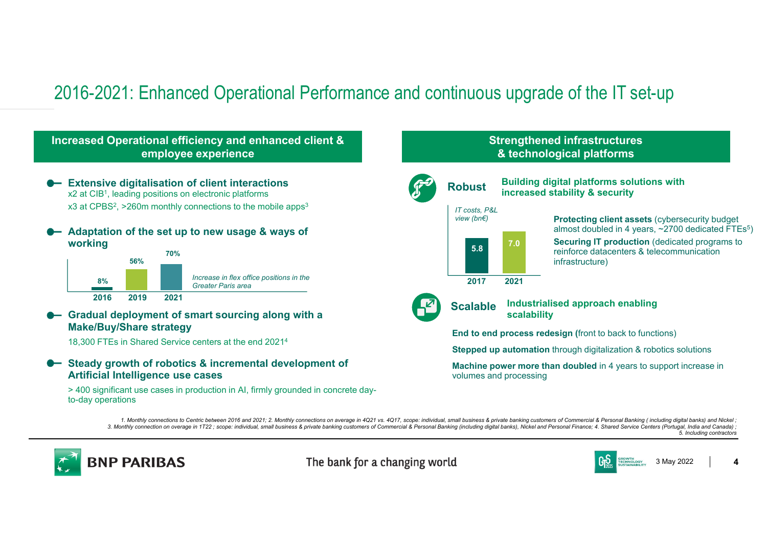# 2016-2021: Enhanced Operational Performance and continuous upgrade of the IT set-up

### **Increased Operational efficiency and enhanced client & employee experience Extensive digitalisation of client interactions** x2 at CIB1, leading positions on electronic platforms x3 at CPBS<sup>2</sup>, >260m monthly connections to the mobile apps<sup>3</sup>  $\bullet$  **Adaptation of the set up to new usage & ways of working 8%56%70%2016 2019 2021** *Increase in flex office positions in the Greater Paris area*

**EfficienciesGradual deployment of smart sourcing along with a Make/Buy/Share strategy**

18,300 FTEs in Shared Service centers at the end 20214

### **Steady growth of robotics & incremental development of Artificial Intelligence use cases**

> 400 significant use cases in production in AI, firmly grounded in concrete dayto-day operations

### **Strengthened infrastructures & technological platforms**



1. Monthly connections to Centric between 2016 and 2021; 2. Monthly connections on average in 4Q21 vs. 4Q17, scope: individual, small business & private banking customers of Commercial & Personal Banking (including digital 3. Monthly connection on overage in 1T22; scope: individual, small business & private banking customers of Commercial & Personal Banking (including digital banks), Nickel and Personal Finance; 4. Shared Service Centers (Po *5. Including contractors*



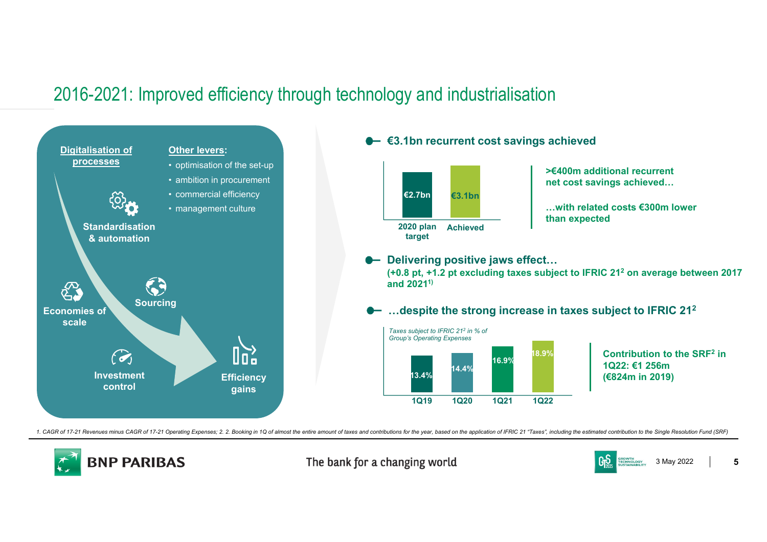# 2016-2021: Improved efficiency through technology and industrialisation



1. CAGR of 17-21 Revenues minus CAGR of 17-21 Operating Expenses; 2. 2. Booking in 1Q of almost the entire amount of taxes and contributions for the year, based on the application of IFRIC 21 "Taxes", including the estimat



The bank for a changing world



**5**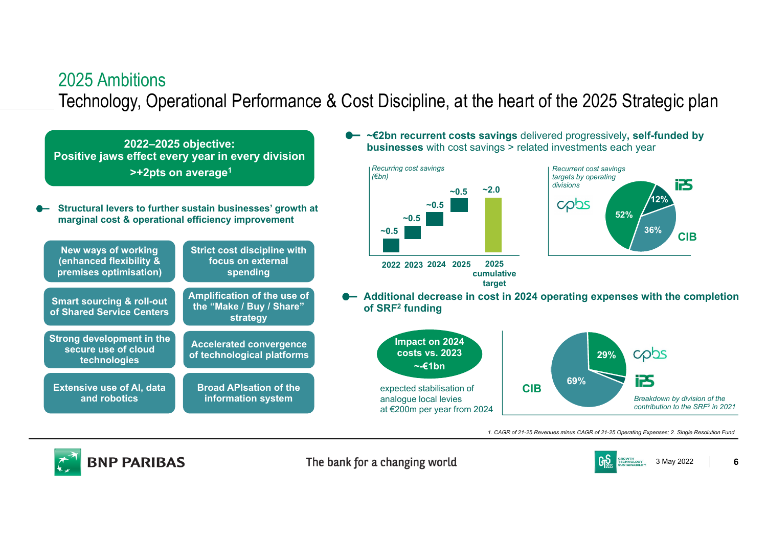# 2025 AmbitionsTechnology, Operational Performance & Cost Discipline, at the heart of the 2025 Strategic plan

**~0.5**

*(€bn)* 

**2022–2025 objective: Positive jaws effect every year in every division >+2pts on average1**

**Structural levers to further sustain businesses' growth at**   $\bullet$ **marginal cost & operational efficiency improvement**



**~€2bn recurrent costs savings** delivered progressively**, self-funded by businesses** with cost savings > related investments each year



**target**



**Additional decrease in cost in 2024 operating expenses with the completion** 



*1. CAGR of 21-25 Revenues minus CAGR of 21-25 Operating Expenses; 2. Single Resolution Fund* 



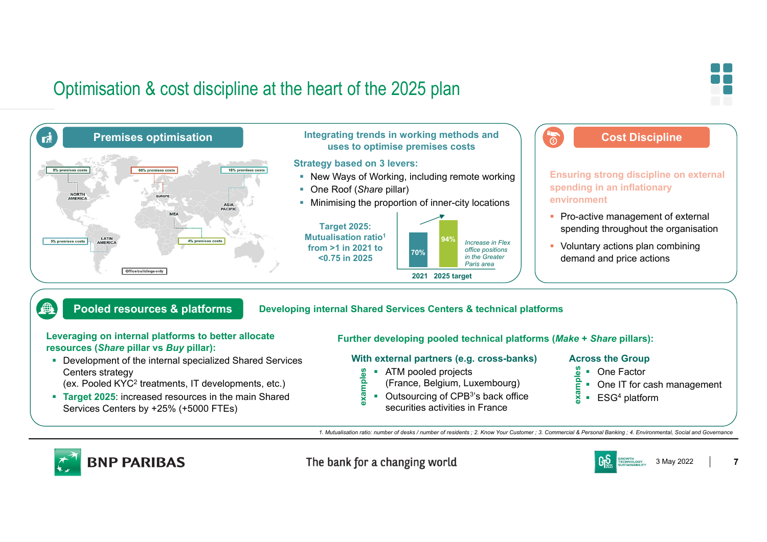# Optimisation & cost discipline at the heart of the 2025 plan





### **Pooled resources & platforms**

#### **Developing internal Shared Services Centers & technical platforms**

#### **Leveraging on internal platforms to better allocate resources (***Share* **pillar vs** *Buy* **pillar):**

- Development of the internal specialized Shared Services Centers strategy
- (ex. Pooled KYC2 treatments, IT developments, etc.)
- **Target 2025:** increased resources in the main Shared Services Centers by +25% (+5000 FTEs)

#### **Further developing pooled technical platforms (***Make* **+** *Share* **pillars):**

### **With external partners (e.g. cross-banks)**

- **ATM** pooled projects **examples**
	- (France, Belgium, Luxembourg)
- Outsourcing of CPB<sup>3'</sup>s back office securities activities in France

#### **Across the Group**

- One Factor
- One IT for cash management
- $\frac{6}{6}$  = One Factor<br>  $\frac{6}{6}$  = One IT for cas<br>  $\frac{8}{6}$  = ESG<sup>4</sup> platform

*1. Mutualisation ratio: number of desks / number of residents ; 2. Know Your Customer ; 3. Commercial & Personal Banking ; 4. Environmental, Social and Governance* 



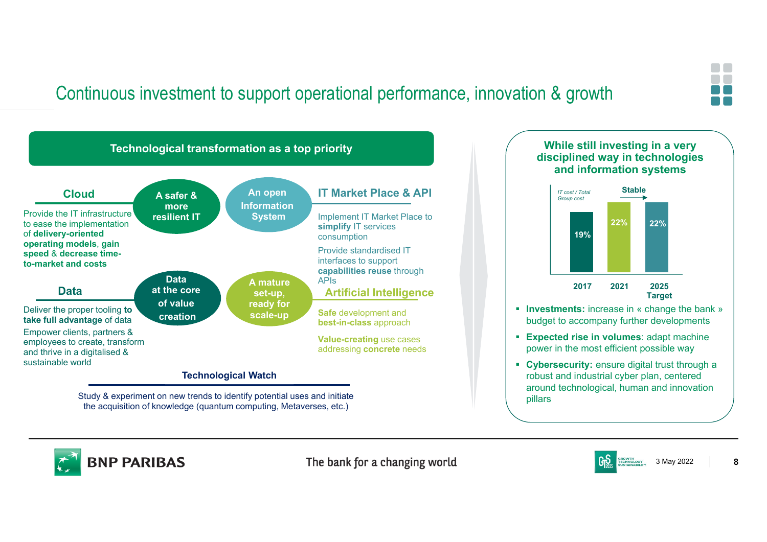# Continuous investment to support operational performance, innovation & growth



the acquisition of knowledge (quantum computing, Metaverses, etc.)



**Cybersecurity:** ensure digital trust through a robust and industrial cyber plan, centered around technological, human and innovation pillars



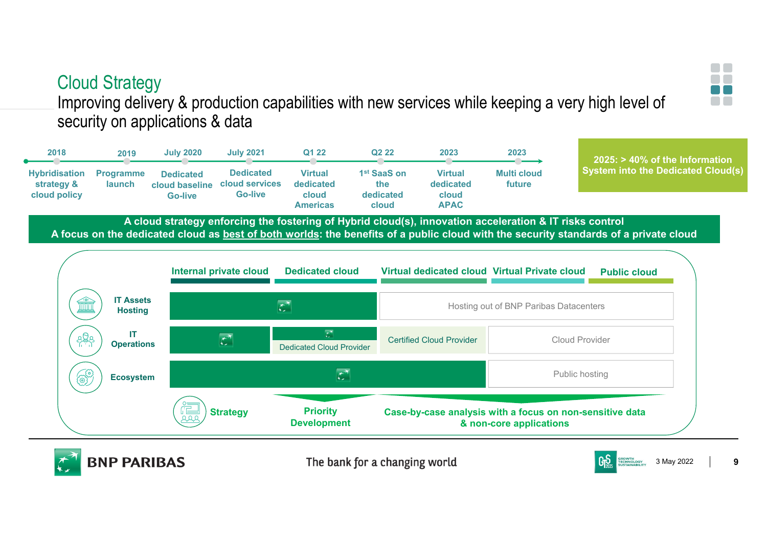# Cloud Strategy

**2019**

**BNP PARIBAS** 

**July 2020**

**Dedicated cloud baseline** 

**Programme launch**

**2018**

**Hybridisation strategy &** 

Improving delivery & production capabilities with new services while keeping a very high level of security on applications & data

**A cloud strategy enforcing the fostering of Hybrid cloud(s), innovation acceleration & IT risks control cloud policy Go-livecloud Americasdedicated cloudcloud APACGo-live**

**July 2021 Q1 22**

**Dedicated cloud services** 

**Virtual dedicated** 

**A focus on the dedicated cloud as best of both worlds: the benefits of a public cloud with the security standards of a private cloud**

**Q2 22**

**2023**

**2023**

**Multi cloud future**

**Virtual dedicated** 

**1st SaaS on the** 



The bank for a changing world



**2025: > 40% of the Information System into the Dedicated Cloud(s)**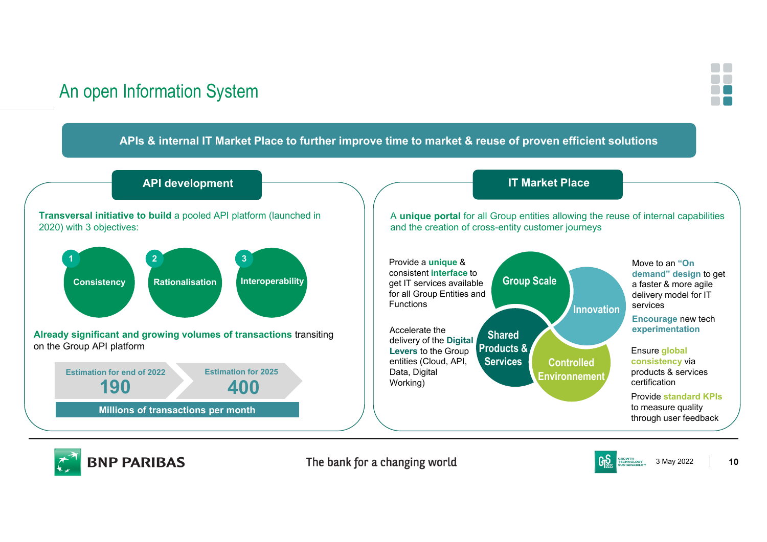# An open Information System



### **APIs & internal IT Market Place to further improve time to market & reuse of proven efficient solutions**





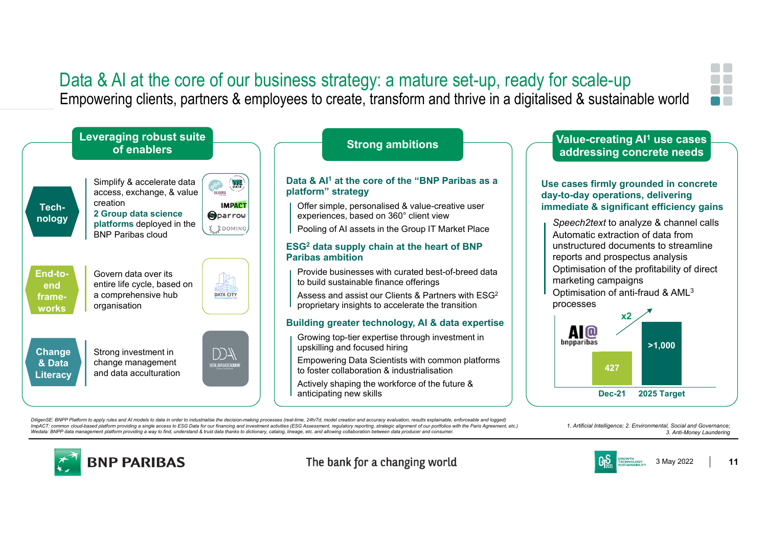### Data & AI at the core of our business strategy: a mature set-up, ready for scale-up Empowering clients, partners & employees to create, transform and thrive in a digitalised & sustainable world





#### **Data & AI1 at the core of the "BNP Paribas as a platform" strategy**

- Offer simple, personalised & value-creative user experiences, based on 360° client view
- Pooling of AI assets in the Group IT Market Place

#### **ESG2 data supply chain at the heart of BNP Paribas ambition**

- Provide businesses with curated best-of-breed data to build sustainable finance offerings
- Assess and assist our Clients & Partners with ESG2 proprietary insights to accelerate the transition

#### **Building greater technology, AI & data expertise**

- Growing top-tier expertise through investment in upskilling and focused hiring
- Empowering Data Scientists with common platforms to foster collaboration & industrialisation
- Actively shaping the workforce of the future & anticipating new skills

# **Strong ambitions Value-creating AI1 use cases addressing concrete needs**

#### **Use cases firmly grounded in concrete day-to-day operations, delivering immediate & significant efficiency gains**

- *Speech2text* to analyze & channel calls Automatic extraction of data from unstructured documents to streamline reports and prospectus analysis
- Optimisation of the profitability of direct marketing campaigns
- Optimisation of anti-fraud & AML3 processes



DiligenSE; BNPP Platform to apply rules and AI models to data in order to industrialise the decision-making processes (real-time, 24h/7d, model creation and accuracy evaluation, results explainable, enforceable and logged) ImpACT: common cloud-based platform providing a single access to ESG Data for our financing and investment activities (ESG Assessment, requiatory reporting, strategic alignment of our portfolios with the Paris Agreement, e Wedata: BNPP data management platform providing a way to find, understand & trust data thanks to dictionary, catalog, lineage, etc. and allowing collaboration between

*1. Artificial Intelligence; 2. Environmental, Social and Governance; 3. Anti-Money Laundering*



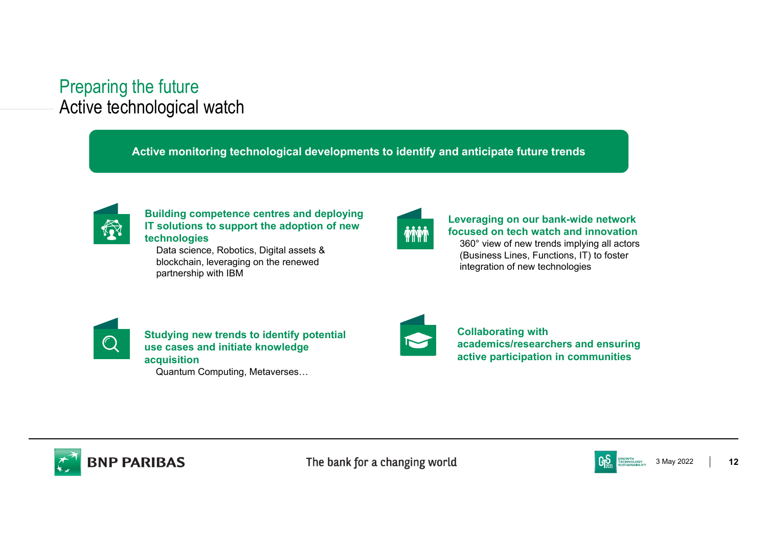# Preparing the future Active technological watch

**Active monitoring technological developments to identify and anticipate future trends**



### **Building competence centres and deploying IT solutions to support the adoption of new technologies**

Data science, Robotics, Digital assets & blockchain, leveraging on the renewed partnership with IBM



### **Leveraging on our bank-wide network focused on tech watch and innovation**360° view of new trends implying all actors

(Business Lines, Functions, IT) to foster integration of new technologies



**Studying new trends to identify potential use cases and initiate knowledge acquisition** Quantum Computing, Metaverses…



**Collaborating with academics/researchers and ensuring active participation in communities**



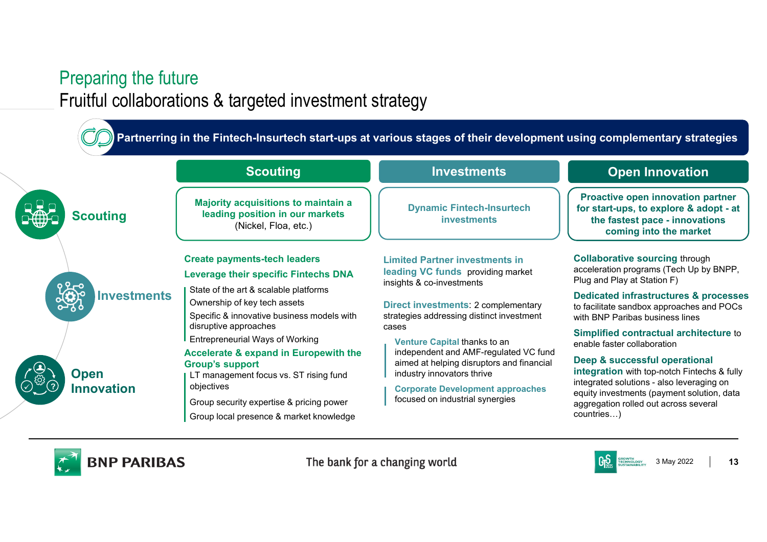# Preparing the future Fruitful collaborations & targeted investment strategy

**Partnerring in the Fintech-Insurtech start-ups at various stages of their development using complementary strategies**





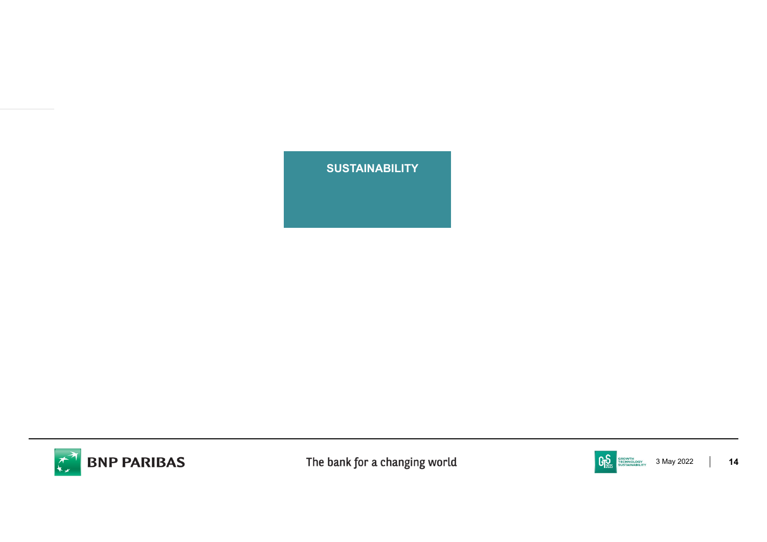**TECHNOLOGY SUSTAINABILITY**



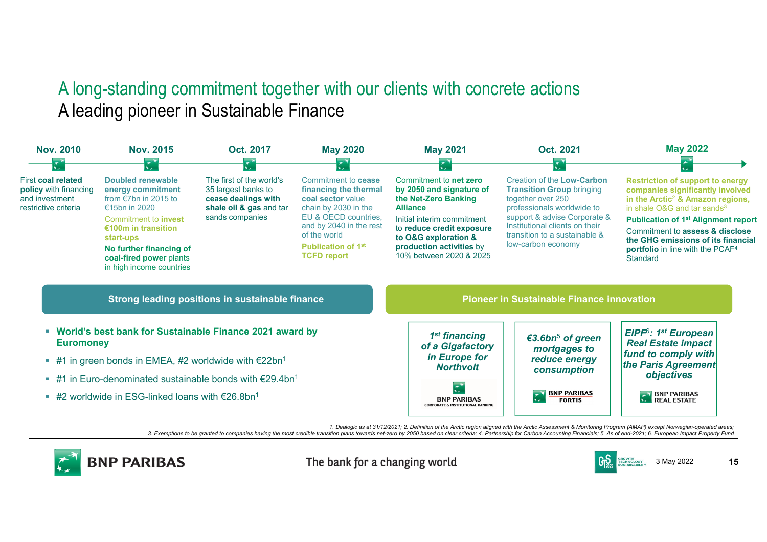# A long-standing commitment together with our clients with concrete actions A leading pioneer in Sustainable Finance



3. Exemptions to be granted to companies having the most credible transition plans towards net-zero by 2050 based on clear criteria; 4. Partnership for Carbon Accounting Financials; 5. As of end-2021; 6. European Impact Pr



The bank for a changing world

3 May 2022 **15**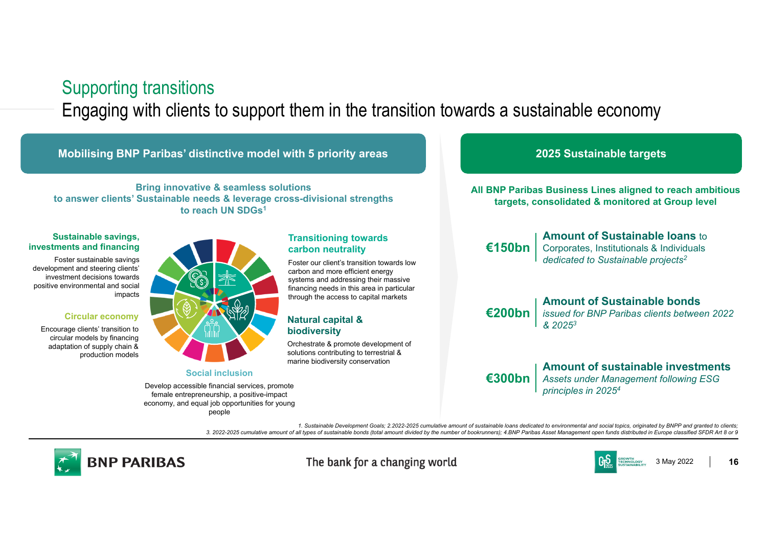### Supporting transitions

Engaging with clients to support them in the transition towards a sustainable economy



*1. Sustainable Development Goals; 2.2022-2025 cumulative amount of sustainable loans dedicated to environmental and social topics, originated by BNPP and granted to clients; 3. 2022-2025 cumulative amount of all types of sustainable bonds (total amount divided by the number of bookrunners); 4.BNP Paribas Asset Management open funds distributed in Europe classified SFDR Art 8 or 9*



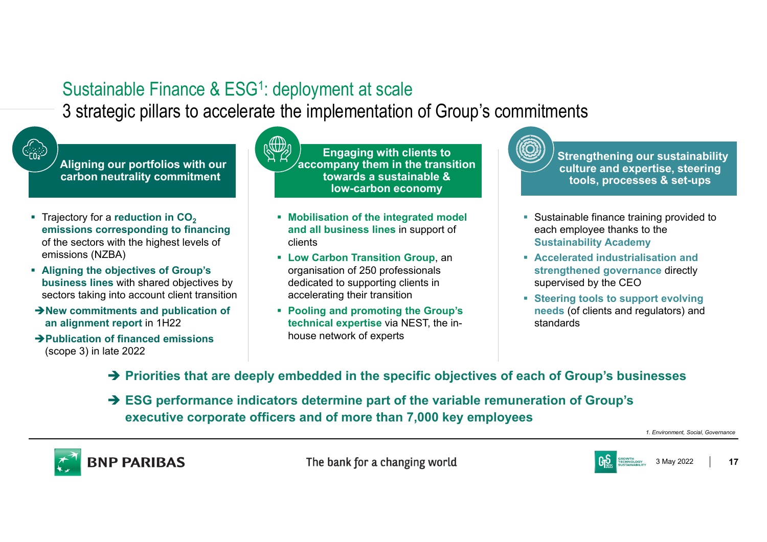# Sustainable Finance & ESG<sup>1</sup>: deployment at scale

3 strategic pillars to accelerate the implementation of Group's commitments



**Aligning our portfolios with our carbon neutrality commitment**

- **Trajectory for a reduction in CO<sub>2</sub> emissions corresponding to financing**  of the sectors with the highest levels of emissions (NZBA)
- **Aligning the objectives of Group's business lines** with shared objectives by sectors taking into account client transition
- **New commitments and publication of an alignment report** in 1H22
- **Publication of financed emissions**  (scope 3) in late 2022



**Engaging with clients to accompany them in the transition towards a sustainable & low-carbon economy**

- **Mobilisation of the integrated model and all business lines** in support of clients
- **Low Carbon Transition Group**, an organisation of 250 professionals dedicated to supporting clients in accelerating their transition
- **Pooling and promoting the Group's technical expertise** via NEST, the inhouse network of experts

**Strengthening our sustainability culture and expertise, steering tools, processes & set-ups**

- Sustainable finance training provided to each employee thanks to the **Sustainability Academy**
- **Accelerated industrialisation and strengthened governance** directly supervised by the CEO
- **Steering tools to support evolving needs** (of clients and regulators) and standards
- **Priorities that are deeply embedded in the specific objectives of each of Group's businesses**
- **ESG performance indicators determine part of the variable remuneration of Group's executive corporate officers and of more than 7,000 key employees**

*1. Environment, Social, Governance*



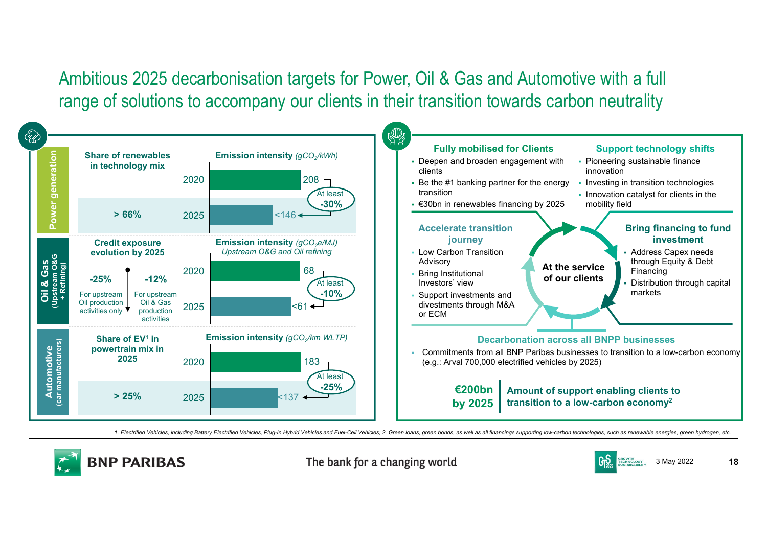Ambitious 2025 decarbonisation targets for Power, Oil & Gas and Automotive with a full range of solutions to accompany our clients in their transition towards carbon neutrality



1. Electrified Vehicles, including Battery Electrified Vehicles, Plug-In Hybrid Vehicles and Fuel-Cell Vehicles; 2. Green loans, green bonds, as well as all financings supporting low-carbon technologies, such as renewable



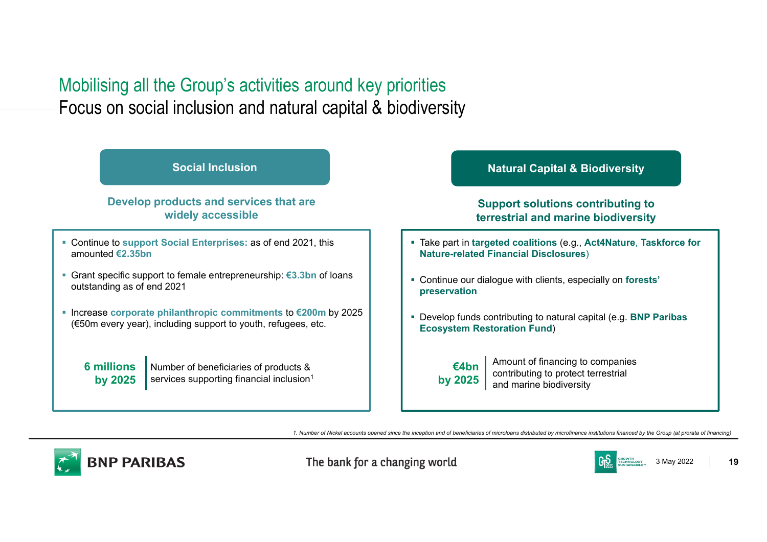# Mobilising all the Group's activities around key priorities Focus on social inclusion and natural capital & biodiversity



*1. Number of Nickel accounts opened since the inception and of beneficiaries of microloans distributed by microfinance institutions financed by the Group (at prorata of financing)*



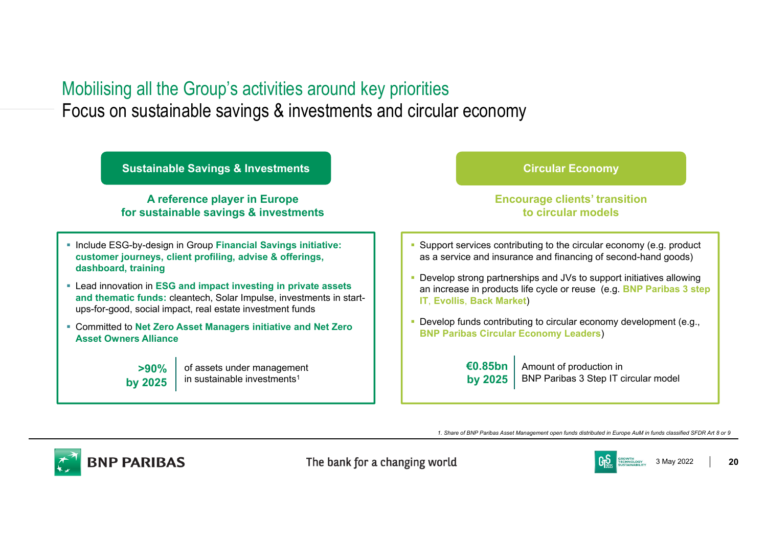## Mobilising all the Group's activities around key priorities Focus on sustainable savings & investments and circular economy

**Sustainable Savings & Investments Circular Economy Circular Economy** 

### **A reference player in Europe for sustainable savings & investments**

- **Include ESG-by-design in Group Financial Savings initiative: customer journeys, client profiling, advise & offerings, dashboard, training**
- Lead innovation in **ESG and impact investing in private assets and thematic funds:** cleantech, Solar Impulse, investments in startups-for-good, social impact, real estate investment funds
- Committed to **Net Zero Asset Managers initiative and Net Zero Asset Owners Alliance**



of assets under management in sustainable investments<sup>1</sup>

### **Encourage clients' transition to circular models**

- Support services contributing to the circular economy (e.g. product as a service and insurance and financing of second-hand goods)
- Develop strong partnerships and JVs to support initiatives allowing an increase in products life cycle or reuse (e.g. **BNP Paribas 3 step IT**, **Evollis**, **Back Market**)
- Develop funds contributing to circular economy development (e.g., **BNP Paribas Circular Economy Leaders**)

Amount of production in BNP Paribas 3 Step IT circular model **€0.85bn by 2025**

*1. Share of BNP Paribas Asset Management open funds distributed in Europe AuM in funds classified SFDR Art 8 or 9*